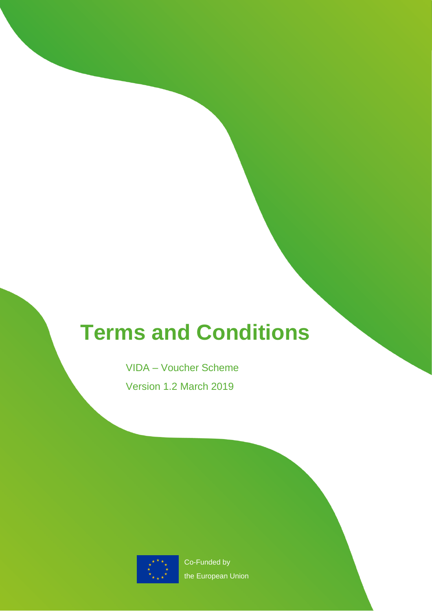# **Terms and Conditions**

VIDA – Voucher Scheme Version 1.2 March 2019



Co-Funded by the European Union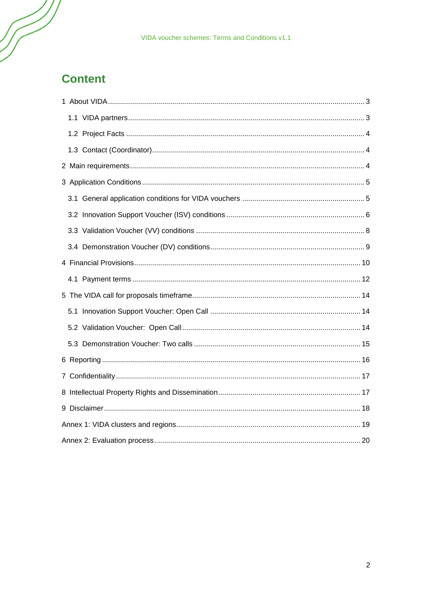# **Content**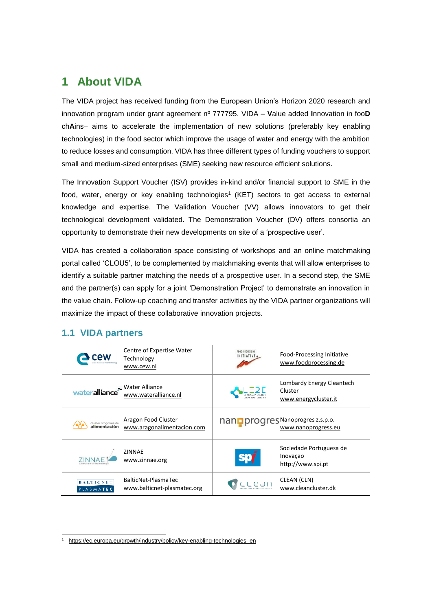# <span id="page-2-0"></span>**1 About VIDA**

The VIDA project has received funding from the European Union's Horizon 2020 research and innovation program under grant agreement nº 777795. VIDA – **V**alue added **I**nnovation in foo**D** ch**A**ins– aims to accelerate the implementation of new solutions (preferably key enabling technologies) in the food sector which improve the usage of water and energy with the ambition to reduce losses and consumption. VIDA has three different types of funding vouchers to support small and medium-sized enterprises (SME) seeking new resource efficient solutions.

The Innovation Support Voucher (ISV) provides in-kind and/or financial support to SME in the food, water, energy or key enabling technologies<sup>1</sup> (KET) sectors to get access to external knowledge and expertise. The Validation Voucher (VV) allows innovators to get their technological development validated. The Demonstration Voucher (DV) offers consortia an opportunity to demonstrate their new developments on site of a 'prospective user'.

VIDA has created a collaboration space consisting of workshops and an online matchmaking portal called 'CLOU5', to be complemented by matchmaking events that will allow enterprises to identify a suitable partner matching the needs of a prospective user. In a second step, the SME and the partner(s) can apply for a joint 'Demonstration Project' to demonstrate an innovation in the value chain. Follow-up coaching and transfer activities by the VIDA partner organizations will maximize the impact of these collaborative innovation projects.

## <span id="page-2-1"></span>**1.1 VIDA partners**

1

| Centre of Expertise Water<br>`AW<br>Technology<br>www.cew.nl                             | FOOD-PROCESSING<br>Food-Processing Initiative<br>INITIATIVE<br>www.foodprocessing.de      |
|------------------------------------------------------------------------------------------|-------------------------------------------------------------------------------------------|
| wateralliance <sup>*</sup> Water Alliance<br>www.wateralliance.nl                        | Lombardy Energy Cleantech<br>Cluster<br>www.energycluster.it                              |
| Aragon Food Cluster<br>cluster aragonés de<br>alimentación<br>www.aragonalimentacion.com | nan <b>u</b> progres Nanoprogres z.s.p.o.<br>www.nanoprogress.eu                          |
| ZINNAE<br>www.zinnae.org                                                                 | Sociedade Portuguesa de<br>Inovação<br>http://www.spi.pt                                  |
| BalticNet-PlasmaTec<br><b>BALTICNET</b><br>www.balticnet-plasmatec.org<br>PLASMATEC      | CLEAN (CLN)<br>$P = \n \begin{bmatrix} 1 \\ -1 \\ 1 \end{bmatrix}$<br>www.cleancluster.dk |

<sup>&</sup>lt;sup>1</sup> [https://ec.europa.eu/growth/industry/policy/key-enabling-technologies\\_en](https://ec.europa.eu/growth/industry/policy/key-enabling-technologies_en)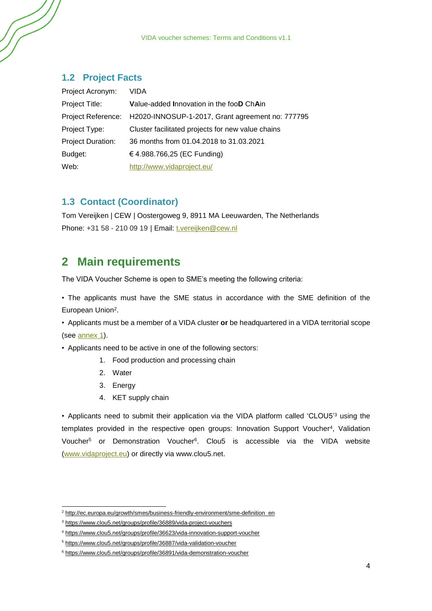## <span id="page-3-3"></span><span id="page-3-0"></span>**1.2 Project Facts**

| Project Acronym:         | VIDA                                              |
|--------------------------|---------------------------------------------------|
| Project Title:           | <b>Value-added Innovation in the fooD ChAin</b>   |
| Project Reference:       | H2020-INNOSUP-1-2017, Grant agreement no: 777795  |
| Project Type:            | Cluster facilitated projects for new value chains |
| <b>Project Duration:</b> | 36 months from 01.04.2018 to 31.03.2021           |
| Budget:                  | € 4.988.766,25 (EC Funding)                       |
| Web:                     | http://www.vidaproject.eu/                        |

### <span id="page-3-1"></span>**1.3 Contact (Coordinator)**

Tom Vereijken | CEW | Oostergoweg 9, 8911 MA Leeuwarden, The Netherlands Phone: +31 58 - 210 09 19 | Email: [t.vereijken@cew.nl](mailto:t.vereijken@cew.nl)

# <span id="page-3-2"></span>**2 Main requirements**

The VIDA Voucher Scheme is open to SME's meeting the following criteria:

• The applicants must have the SME status in accordance with the SME definition of the European Union<sup>2</sup>.

• Applicants must be a member of a VIDA cluster **or** be headquartered in a VIDA territorial scope (see [annex](#page-18-0) 1).

• Applicants need to be active in one of the following sectors:

- 1. Food production and processing chain
- 2. Water
- 3. Energy

1

4. KET supply chain

• Applicants need to submit their application via the VIDA platform called 'CLOU5'<sup>3</sup> using the templates provided in the respective open groups: Innovation Support Voucher<sup>4</sup> , Validation Voucher<sup>5</sup> or Demonstration Voucher<sup>6</sup>. Clou5 is accessible via the VIDA website [\(www.vidaproject.eu\)](http://www.vidaproject.eu/) or directly via www.clou5.net.

<sup>&</sup>lt;sup>2</sup> [http://ec.europa.eu/growth/smes/business-friendly-environment/sme-definition\\_en](http://ec.europa.eu/growth/smes/business-friendly-environment/sme-definition_en)

<sup>3</sup> https://www.clou5.net/groups/profile/36889/vida-project-vouchers

<sup>4</sup> <https://www.clou5.net/groups/profile/36623/vida-innovation-support-voucher>

<sup>5</sup> <https://www.clou5.net/groups/profile/36887/vida-validation-voucher>

<sup>6</sup> <https://www.clou5.net/groups/profile/36891/vida-demonstration-voucher>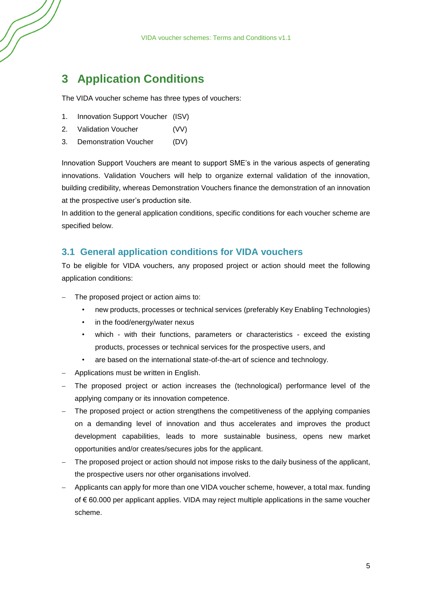# <span id="page-4-0"></span>**3 Application Conditions**

The VIDA voucher scheme has three types of vouchers:

- 1. Innovation Support Voucher (ISV)
- 2. Validation Voucher (VV)
- 3. Demonstration Voucher (DV)

Innovation Support Vouchers are meant to support SME's in the various aspects of generating innovations. Validation Vouchers will help to organize external validation of the innovation, building credibility, whereas Demonstration Vouchers finance the demonstration of an innovation at the prospective user's production site.

In addition to the general application conditions, specific conditions for each voucher scheme are specified below.

### <span id="page-4-1"></span>**3.1 General application conditions for VIDA vouchers**

To be eligible for VIDA vouchers, any proposed project or action should meet the following application conditions:

- The proposed project or action aims to:
	- new products, processes or technical services (preferably Key Enabling Technologies)
	- in the food/energy/water nexus
	- which with their functions, parameters or characteristics exceed the existing products, processes or technical services for the prospective users, and
	- are based on the international state-of-the-art of science and technology.
- − Applications must be written in English.
- The proposed project or action increases the (technological) performance level of the applying company or its innovation competence.
- The proposed project or action strengthens the competitiveness of the applying companies on a demanding level of innovation and thus accelerates and improves the product development capabilities, leads to more sustainable business, opens new market opportunities and/or creates/secures jobs for the applicant.
- The proposed project or action should not impose risks to the daily business of the applicant, the prospective users nor other organisations involved.
- − Applicants can apply for more than one VIDA voucher scheme, however, a total max. funding of € 60.000 per applicant applies. VIDA may reject multiple applications in the same voucher scheme.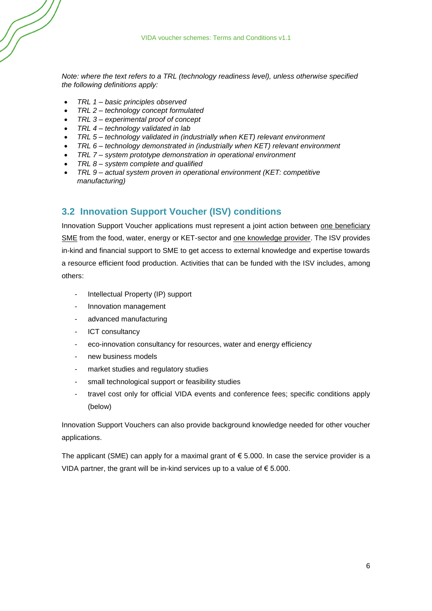*Note: where the text refers to a TRL (technology readiness level), unless otherwise specified the following definitions apply:*

- *TRL 1 – basic principles observed*
- *TRL 2 – technology concept formulated*
- *TRL 3 – experimental proof of concept*
- *TRL 4 – technology validated in lab*
- *TRL 5 – technology validated in (industrially when KET) relevant environment*
- *TRL 6 – technology demonstrated in (industrially when KET) relevant environment*
- *TRL 7 – system prototype demonstration in operational environment*
- *TRL 8 – system complete and qualified*
- *TRL 9 – actual system proven in operational environment (KET: competitive manufacturing)*

### <span id="page-5-0"></span>**3.2 Innovation Support Voucher (ISV) conditions**

Innovation Support Voucher applications must represent a joint action between one beneficiary SME from the food, water, energy or KET-sector and one knowledge provider. The ISV provides in-kind and financial support to SME to get access to external knowledge and expertise towards a resource efficient food production. Activities that can be funded with the ISV includes, among others:

- Intellectual Property (IP) support
- Innovation management
- advanced manufacturing
- ICT consultancy
- eco-innovation consultancy for resources, water and energy efficiency
- new business models
- market studies and regulatory studies
- small technological support or feasibility studies
- travel cost only for official VIDA events and conference fees; specific conditions apply (below)

Innovation Support Vouchers can also provide background knowledge needed for other voucher applications.

The applicant (SME) can apply for a maximal grant of  $\epsilon$  5.000. In case the service provider is a VIDA partner, the grant will be in-kind services up to a value of  $\epsilon$  5.000.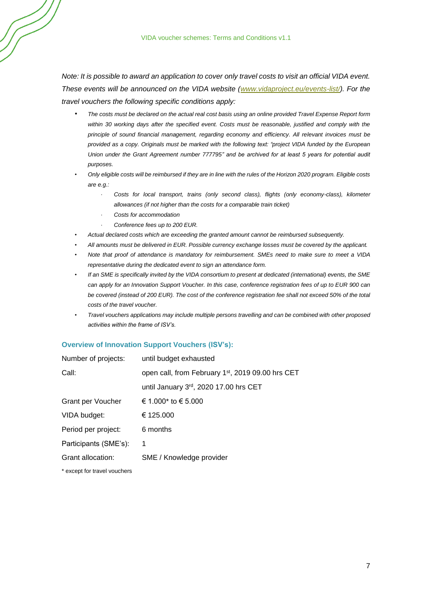*Note: It is possible to award an application to cover only travel costs to visit an official VIDA event. These events will be announced on the VIDA website [\(www.vidaproject.eu/](http://www.vidaproject.eu/)events-list/). For the travel vouchers the following specific conditions apply:*

- *The costs must be declared on the actual real cost basis using an online provided Travel Expense Report form within 30 working days after the specified event. Costs must be reasonable, justified and comply with the principle of sound financial management, regarding economy and efficiency. All relevant invoices must be provided as a copy. Originals must be marked with the following text: "project VIDA funded by the European Union under the Grant Agreement number 777795" and be archived for at least 5 years for potential audit purposes.*
- *Only eligible costs will be reimbursed if they are in line with the rules of the Horizon 2020 program. Eligible costs are e.g.:* 
	- ∙ *Costs for local transport, trains (only second class), flights (only economy-class), kilometer allowances (if not higher than the costs for a comparable train ticket)*
	- ∙ *Costs for accommodation*
	- ∙ *Conference fees up to 200 EUR.*
- *Actual declared costs which are exceeding the granted amount cannot be reimbursed subsequently.*
- *All amounts must be delivered in EUR. Possible currency exchange losses must be covered by the applicant.*
- *Note that proof of attendance is mandatory for reimbursement. SMEs need to make sure to meet a VIDA representative during the dedicated event to sign an attendance form.*
- *If an SME is specifically invited by the VIDA consortium to present at dedicated (international) events, the SME can apply for an Innovation Support Voucher. In this case, conference registration fees of up to EUR 900 can be covered (instead of 200 EUR). The cost of the conference registration fee shall not exceed 50% of the total costs of the travel voucher.*
- *Travel vouchers applications may include multiple persons travelling and can be combined with other proposed activities within the frame of ISV's.*

#### **Overview of Innovation Support Vouchers (ISV's):**

| Number of projects:   | until budget exhausted                                        |
|-----------------------|---------------------------------------------------------------|
| Call:                 | open call, from February 1 <sup>st</sup> , 2019 09.00 hrs CET |
|                       | until January 3rd, 2020 17.00 hrs CET                         |
| Grant per Voucher     | € 1.000* to € 5.000                                           |
| VIDA budget:          | € 125.000                                                     |
| Period per project:   | 6 months                                                      |
| Participants (SME's): | 1                                                             |
| Grant allocation:     | SME / Knowledge provider                                      |
|                       |                                                               |

\* except for travel vouchers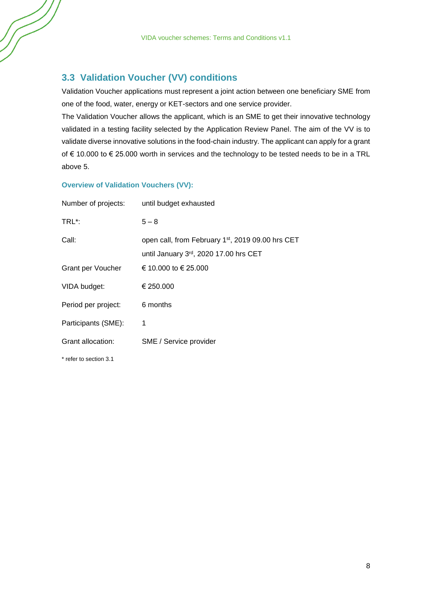## <span id="page-7-0"></span>**3.3 Validation Voucher (VV) conditions**

Validation Voucher applications must represent a joint action between one beneficiary SME from one of the food, water, energy or KET-sectors and one service provider.

The Validation Voucher allows the applicant, which is an SME to get their innovative technology validated in a testing facility selected by the Application Review Panel. The aim of the VV is to validate diverse innovative solutions in the food-chain industry. The applicant can apply for a grant of € 10.000 to € 25.000 worth in services and the technology to be tested needs to be in a TRL above 5.

#### **Overview of Validation Vouchers (VV):**

| Number of projects:    | until budget exhausted                                                                                 |
|------------------------|--------------------------------------------------------------------------------------------------------|
| TRL*:                  | $5 - 8$                                                                                                |
| Call:                  | open call, from February 1 <sup>st</sup> , 2019 09.00 hrs CET<br>until January 3rd, 2020 17.00 hrs CET |
| Grant per Voucher      | € 10,000 to € 25,000                                                                                   |
| VIDA budget:           | € 250.000                                                                                              |
| Period per project:    | 6 months                                                                                               |
| Participants (SME):    | 1                                                                                                      |
| Grant allocation:      | SME / Service provider                                                                                 |
| * refer to section 3.1 |                                                                                                        |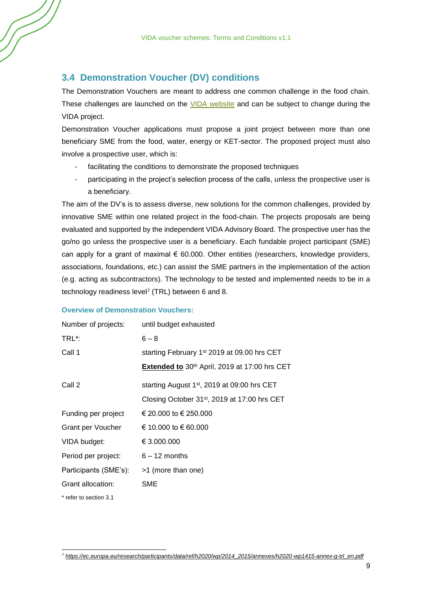### <span id="page-8-0"></span>**3.4 Demonstration Voucher (DV) conditions**

The Demonstration Vouchers are meant to address one common challenge in the food chain. These challenges are launched on the **VIDA** website and can be subject to change during the VIDA project.

Demonstration Voucher applications must propose a joint project between more than one beneficiary SME from the food, water, energy or KET-sector. The proposed project must also involve a prospective user, which is:

- facilitating the conditions to demonstrate the proposed techniques
- participating in the project's selection process of the calls, unless the prospective user is a beneficiary.

The aim of the DV's is to assess diverse, new solutions for the common challenges, provided by innovative SME within one related project in the food-chain. The projects proposals are being evaluated and supported by the independent VIDA Advisory Board. The prospective user has the go/no go unless the prospective user is a beneficiary. Each fundable project participant (SME) can apply for a grant of maximal  $\epsilon$  60.000. Other entities (researchers, knowledge providers, associations, foundations, etc.) can assist the SME partners in the implementation of the action (e.g. acting as subcontractors). The technology to be tested and implemented needs to be in a technology readiness level<sup>7</sup> (TRL) between 6 and 8.

#### **Overview of Demonstration Vouchers:**

1

| Number of projects:    | until budget exhausted                                   |
|------------------------|----------------------------------------------------------|
| TRL*:                  | $6 - 8$                                                  |
| Call 1                 | starting February 1 <sup>st</sup> 2019 at 09.00 hrs CET  |
|                        | Extended to 30th April, 2019 at 17:00 hrs CET            |
| Call 2                 | starting August $1st$ , 2019 at 09:00 hrs CET            |
|                        | Closing October 31 <sup>st</sup> , 2019 at 17:00 hrs CET |
| Funding per project    | € 20.000 to € 250.000                                    |
| Grant per Voucher      | € 10.000 to € 60.000                                     |
| VIDA budget:           | € 3.000,000                                              |
| Period per project:    | $6 - 12$ months                                          |
| Participants (SME's):  | >1 (more than one)                                       |
| Grant allocation:      | SME                                                      |
| * refer to section 3.1 |                                                          |

*<sup>7</sup> [https://ec.europa.eu/research/participants/data/ref/h2020/wp/2014\\_2015/annexes/h2020-wp1415-annex-g-trl\\_en.pdf](https://ec.europa.eu/research/participants/data/ref/h2020/wp/2014_2015/annexes/h2020-wp1415-annex-g-trl_en.pdf)*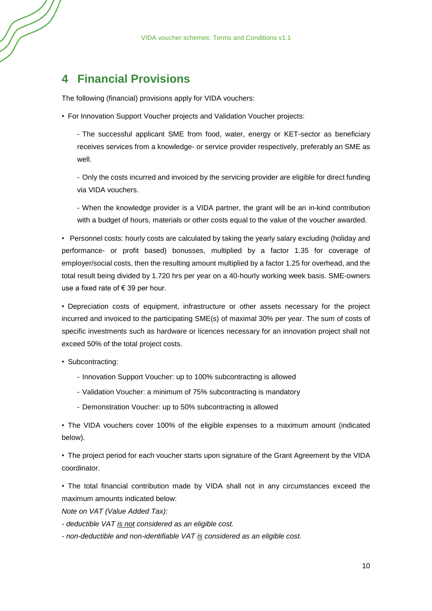# <span id="page-9-0"></span>**4 Financial Provisions**

The following (financial) provisions apply for VIDA vouchers:

• For Innovation Support Voucher projects and Validation Voucher projects:

- The successful applicant SME from food, water, energy or KET-sector as beneficiary receives services from a knowledge- or service provider respectively, preferably an SME as well.

- Only the costs incurred and invoiced by the servicing provider are eligible for direct funding via VIDA vouchers.

- When the knowledge provider is a VIDA partner, the grant will be an in-kind contribution with a budget of hours, materials or other costs equal to the value of the voucher awarded.

• Personnel costs: hourly costs are calculated by taking the yearly salary excluding (holiday and performance- or profit based) bonusses, multiplied by a factor 1.35 for coverage of employer/social costs, then the resulting amount multiplied by a factor 1.25 for overhead, and the total result being divided by 1.720 hrs per year on a 40-hourly working week basis. SME-owners use a fixed rate of € 39 per hour.

• Depreciation costs of equipment, infrastructure or other assets necessary for the project incurred and invoiced to the participating SME(s) of maximal 30% per year. The sum of costs of specific investments such as hardware or licences necessary for an innovation project shall not exceed 50% of the total project costs.

• Subcontracting:

- Innovation Support Voucher: up to 100% subcontracting is allowed
- Validation Voucher: a minimum of 75% subcontracting is mandatory
- Demonstration Voucher: up to 50% subcontracting is allowed

• The VIDA vouchers cover 100% of the eligible expenses to a maximum amount (indicated below).

• The project period for each voucher starts upon signature of the Grant Agreement by the VIDA coordinator.

• The total financial contribution made by VIDA shall not in any circumstances exceed the maximum amounts indicated below:

*Note on VAT (Value Added Tax):* 

*- deductible VAT is not considered as an eligible cost.* 

*- non-deductible and non-identifiable VAT is considered as an eligible cost.*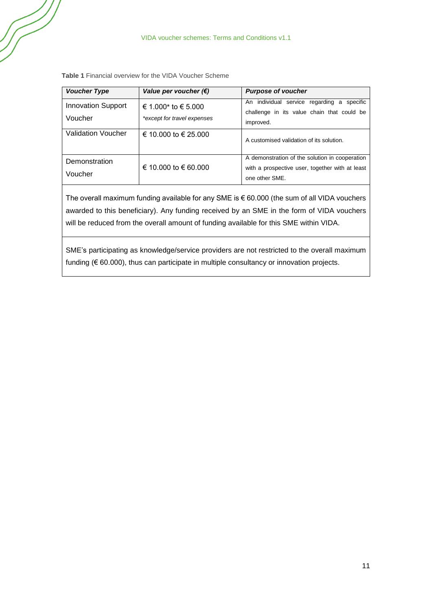| <b>Voucher Type</b>                  | Value per voucher $(\epsilon)$                     | <b>Purpose of voucher</b>                                                                                           |
|--------------------------------------|----------------------------------------------------|---------------------------------------------------------------------------------------------------------------------|
| <b>Innovation Support</b><br>Voucher | € 1.000* to € 5.000<br>*except for travel expenses | An individual service regarding a<br>specific<br>challenge in its value chain that could be<br>improved.            |
| <b>Validation Voucher</b>            | € 10.000 to € 25.000                               | A customised validation of its solution.                                                                            |
| Demonstration<br>Voucher             | € 10.000 to € 60.000                               | A demonstration of the solution in cooperation<br>with a prospective user, together with at least<br>one other SME. |

**Table 1** Financial overview for the VIDA Voucher Scheme

The overall maximum funding available for any SME is € 60.000 (the sum of all VIDA vouchers awarded to this beneficiary). Any funding received by an SME in the form of VIDA vouchers will be reduced from the overall amount of funding available for this SME within VIDA.

SME's participating as knowledge/service providers are not restricted to the overall maximum funding (€ 60.000), thus can participate in multiple consultancy or innovation projects.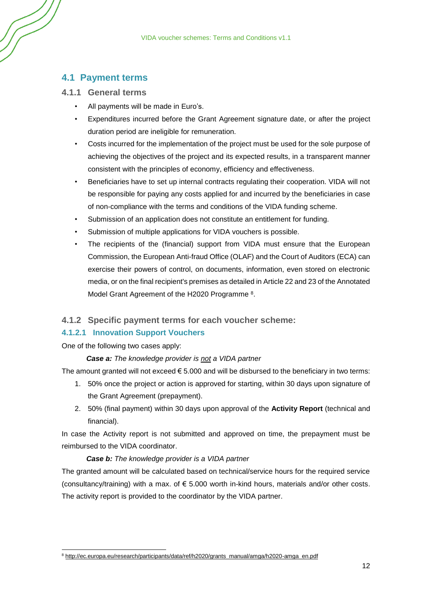## <span id="page-11-0"></span>**4.1 Payment terms**

#### **4.1.1 General terms**

- All payments will be made in Euro's.
- Expenditures incurred before the Grant Agreement signature date, or after the project duration period are ineligible for remuneration.
- Costs incurred for the implementation of the project must be used for the sole purpose of achieving the objectives of the project and its expected results, in a transparent manner consistent with the principles of economy, efficiency and effectiveness.
- Beneficiaries have to set up internal contracts regulating their cooperation. VIDA will not be responsible for paying any costs applied for and incurred by the beneficiaries in case of non-compliance with the terms and conditions of the VIDA funding scheme.
- Submission of an application does not constitute an entitlement for funding.
- Submission of multiple applications for VIDA vouchers is possible.
- The recipients of the (financial) support from VIDA must ensure that the European Commission, the European Anti-fraud Office (OLAF) and the Court of Auditors (ECA) can exercise their powers of control, on documents, information, even stored on electronic media, or on the final recipient's premises as detailed in Article 22 and 23 of the Annotated Model Grant Agreement of the H2020 Programme<sup>8</sup>.

#### **4.1.2 Specific payment terms for each voucher scheme:**

#### **4.1.2.1 Innovation Support Vouchers**

One of the following two cases apply:

#### *Case a: The knowledge provider is not a VIDA partner*

The amount granted will not exceed  $\epsilon$  5.000 and will be disbursed to the beneficiary in two terms:

- 1. 50% once the project or action is approved for starting, within 30 days upon signature of the Grant Agreement (prepayment).
- 2. 50% (final payment) within 30 days upon approval of the **Activity Report** (technical and financial).

In case the Activity report is not submitted and approved on time, the prepayment must be reimbursed to the VIDA coordinator.

#### *Case b: The knowledge provider is a VIDA partner*

The granted amount will be calculated based on technical/service hours for the required service (consultancy/training) with a max. of € 5.000 worth in-kind hours, materials and/or other costs. The activity report is provided to the coordinator by the VIDA partner.

<sup>1</sup> <sup>8</sup> [http://ec.europa.eu/research/participants/data/ref/h2020/grants\\_manual/amga/h2020-amga\\_en.pdf](http://ec.europa.eu/research/participants/data/ref/h2020/grants_manual/amga/h2020-amga_en.pdf)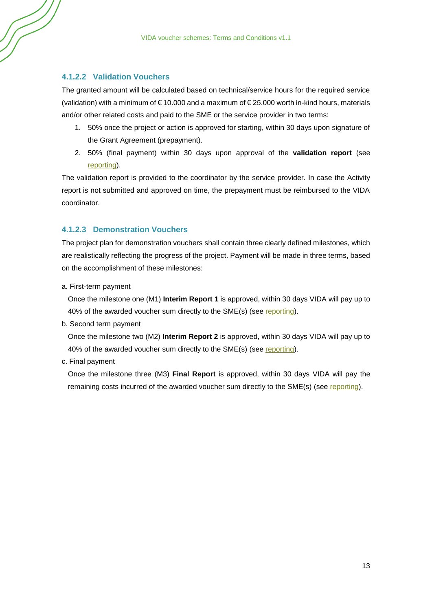#### **4.1.2.2 Validation Vouchers**

The granted amount will be calculated based on technical/service hours for the required service (validation) with a minimum of  $\epsilon$  10.000 and a maximum of  $\epsilon$  25.000 worth in-kind hours, materials and/or other related costs and paid to the SME or the service provider in two terms:

- 1. 50% once the project or action is approved for starting, within 30 days upon signature of the Grant Agreement (prepayment).
- 2. 50% (final payment) within 30 days upon approval of the **validation report** (see [reporting\)](#page-15-0).

The validation report is provided to the coordinator by the service provider. In case the Activity report is not submitted and approved on time, the prepayment must be reimbursed to the VIDA coordinator.

#### **4.1.2.3 Demonstration Vouchers**

The project plan for demonstration vouchers shall contain three clearly defined milestones, which are realistically reflecting the progress of the project. Payment will be made in three terms, based on the accomplishment of these milestones:

a. First-term payment

Once the milestone one (M1) **Interim Report 1** is approved, within 30 days VIDA will pay up to 40% of the awarded voucher sum directly to the SME(s) (see [reporting\)](#page-15-0).

b. Second term payment

Once the milestone two (M2) **Interim Report 2** is approved, within 30 days VIDA will pay up to 40% of the awarded voucher sum directly to the SME(s) (see [reporting\)](#page-15-0).

c. Final payment

Once the milestone three (M3) **Final Report** is approved, within 30 days VIDA will pay the remaining costs incurred of the awarded voucher sum directly to the SME(s) (see [reporting\)](#page-15-0).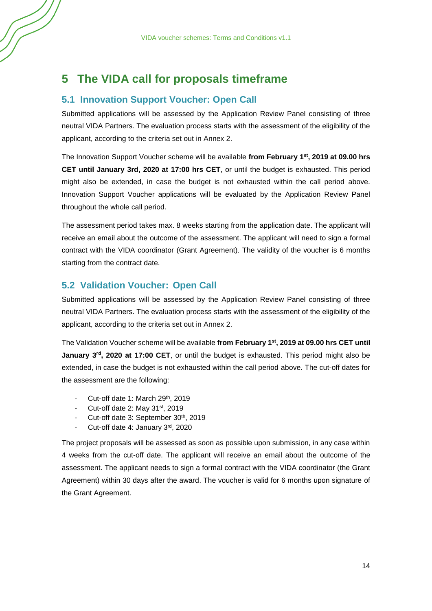# <span id="page-13-0"></span>**5 The VIDA call for proposals timeframe**

### <span id="page-13-1"></span>**5.1 Innovation Support Voucher: Open Call**

Submitted applications will be assessed by the Application Review Panel consisting of three neutral VIDA Partners. The evaluation process starts with the assessment of the eligibility of the applicant, according to the criteria set out in Annex 2.

The Innovation Support Voucher scheme will be available **from February 1st, 2019 at 09.00 hrs CET until January 3rd, 2020 at 17:00 hrs CET**, or until the budget is exhausted. This period might also be extended, in case the budget is not exhausted within the call period above. Innovation Support Voucher applications will be evaluated by the Application Review Panel throughout the whole call period.

The assessment period takes max. 8 weeks starting from the application date. The applicant will receive an email about the outcome of the assessment. The applicant will need to sign a formal contract with the VIDA coordinator (Grant Agreement). The validity of the voucher is 6 months starting from the contract date.

### <span id="page-13-2"></span>**5.2 Validation Voucher: Open Call**

Submitted applications will be assessed by the Application Review Panel consisting of three neutral VIDA Partners. The evaluation process starts with the assessment of the eligibility of the applicant, according to the criteria set out in Annex 2.

The Validation Voucher scheme will be available **from February 1st, 2019 at 09.00 hrs CET until January 3rd, 2020 at 17:00 CET**, or until the budget is exhausted. This period might also be extended, in case the budget is not exhausted within the call period above. The cut-off dates for the assessment are the following:

- Cut-off date 1: March 29th, 2019
- Cut-off date 2: May  $31<sup>st</sup>$ , 2019
- Cut-off date 3: September 30<sup>th</sup>, 2019
- Cut-off date 4: January 3 rd, 2020

The project proposals will be assessed as soon as possible upon submission, in any case within 4 weeks from the cut-off date. The applicant will receive an email about the outcome of the assessment. The applicant needs to sign a formal contract with the VIDA coordinator (the Grant Agreement) within 30 days after the award. The voucher is valid for 6 months upon signature of the Grant Agreement.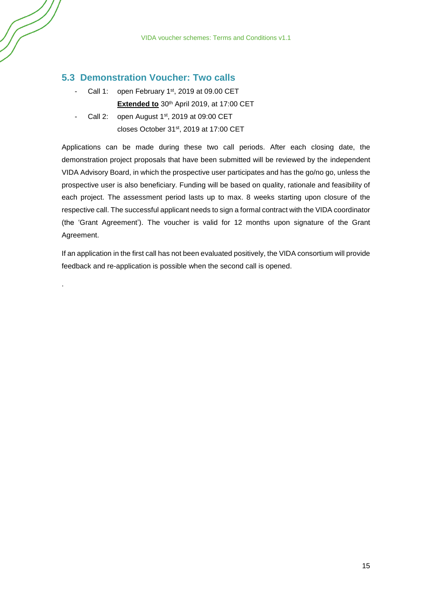### <span id="page-14-0"></span>**5.3 Demonstration Voucher: Two calls**

- Call 1: open February 1<sup>st</sup>, 2019 at 09.00 CET **Extended to** 30<sup>th</sup> April 2019, at 17:00 CET
- Call 2: open August  $1<sup>st</sup>$ , 2019 at 09:00 CET closes October 31st , 2019 at 17:00 CET

Applications can be made during these two call periods. After each closing date, the demonstration project proposals that have been submitted will be reviewed by the independent VIDA Advisory Board, in which the prospective user participates and has the go/no go, unless the prospective user is also beneficiary. Funding will be based on quality, rationale and feasibility of each project. The assessment period lasts up to max. 8 weeks starting upon closure of the respective call. The successful applicant needs to sign a formal contract with the VIDA coordinator (the 'Grant Agreement'). The voucher is valid for 12 months upon signature of the Grant Agreement.

If an application in the first call has not been evaluated positively, the VIDA consortium will provide feedback and re-application is possible when the second call is opened.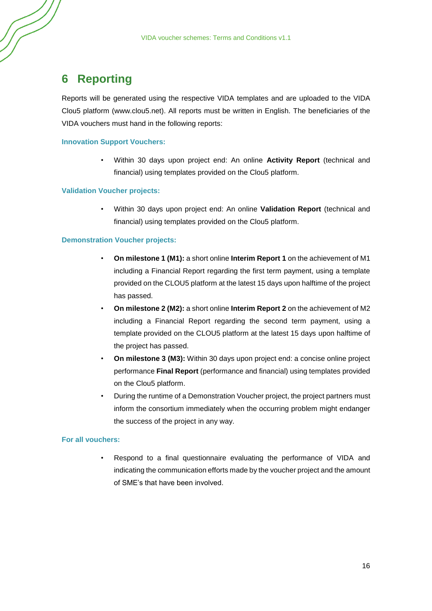# <span id="page-15-0"></span>**6 Reporting**

Reports will be generated using the respective VIDA templates and are uploaded to the VIDA Clou5 platform (www.clou5.net). All reports must be written in English. The beneficiaries of the VIDA vouchers must hand in the following reports:

#### **Innovation Support Vouchers:**

• Within 30 days upon project end: An online **Activity Report** (technical and financial) using templates provided on the Clou5 platform.

#### **Validation Voucher projects:**

• Within 30 days upon project end: An online **Validation Report** (technical and financial) using templates provided on the Clou5 platform.

#### **Demonstration Voucher projects:**

- **On milestone 1 (M1):** a short online **Interim Report 1** on the achievement of M1 including a Financial Report regarding the first term payment, using a template provided on the CLOU5 platform at the latest 15 days upon halftime of the project has passed.
- **On milestone 2 (M2):** a short online **Interim Report 2** on the achievement of M2 including a Financial Report regarding the second term payment, using a template provided on the CLOU5 platform at the latest 15 days upon halftime of the project has passed.
- **On milestone 3 (M3):** Within 30 days upon project end: a concise online project performance **Final Report** (performance and financial) using templates provided on the Clou5 platform.
- During the runtime of a Demonstration Voucher project, the project partners must inform the consortium immediately when the occurring problem might endanger the success of the project in any way.

#### **For all vouchers:**

• Respond to a final questionnaire evaluating the performance of VIDA and indicating the communication efforts made by the voucher project and the amount of SME's that have been involved.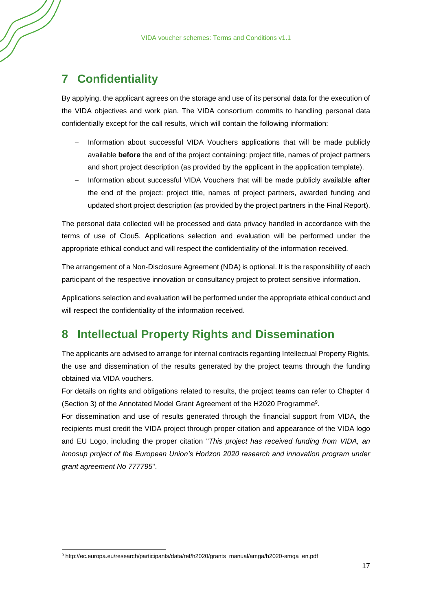# <span id="page-16-0"></span>**7 Confidentiality**

By applying, the applicant agrees on the storage and use of its personal data for the execution of the VIDA objectives and work plan. The VIDA consortium commits to handling personal data confidentially except for the call results, which will contain the following information:

- − Information about successful VIDA Vouchers applications that will be made publicly available **before** the end of the project containing: project title, names of project partners and short project description (as provided by the applicant in the application template).
- − Information about successful VIDA Vouchers that will be made publicly available **after**  the end of the project: project title, names of project partners, awarded funding and updated short project description (as provided by the project partners in the Final Report).

The personal data collected will be processed and data privacy handled in accordance with the terms of use of Clou5. Applications selection and evaluation will be performed under the appropriate ethical conduct and will respect the confidentiality of the information received.

The arrangement of a Non-Disclosure Agreement (NDA) is optional. It is the responsibility of each participant of the respective innovation or consultancy project to protect sensitive information.

Applications selection and evaluation will be performed under the appropriate ethical conduct and will respect the confidentiality of the information received.

# <span id="page-16-1"></span>**8 Intellectual Property Rights and Dissemination**

The applicants are advised to arrange for internal contracts regarding Intellectual Property Rights, the use and dissemination of the results generated by the project teams through the funding obtained via VIDA vouchers.

For details on rights and obligations related to results, the project teams can refer to Chapter 4 (Section 3) of the Annotated Model Grant Agreement of the H2020 Programme<sup>9</sup> *.*

For dissemination and use of results generated through the financial support from VIDA, the recipients must credit the VIDA project through proper citation and appearance of the VIDA logo and EU Logo, including the proper citation "*This project has received funding from VIDA, an Innosup project of the European Union's Horizon 2020 research and innovation program under grant agreement No 777795*".

<sup>1</sup> <sup>9</sup> [http://ec.europa.eu/research/participants/data/ref/h2020/grants\\_manual/amga/h2020-amga\\_en.pdf](http://ec.europa.eu/research/participants/data/ref/h2020/grants_manual/amga/h2020-amga_en.pdf)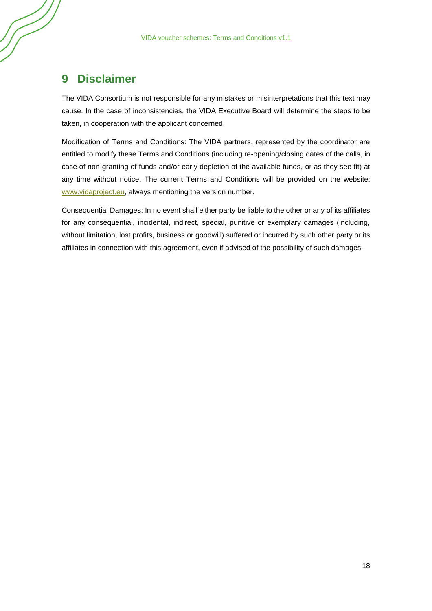# <span id="page-17-0"></span>**9 Disclaimer**

The VIDA Consortium is not responsible for any mistakes or misinterpretations that this text may cause. In the case of inconsistencies, the VIDA Executive Board will determine the steps to be taken, in cooperation with the applicant concerned.

Modification of Terms and Conditions: The VIDA partners, represented by the coordinator are entitled to modify these Terms and Conditions (including re-opening/closing dates of the calls, in case of non-granting of funds and/or early depletion of the available funds, or as they see fit) at any time without notice. The current Terms and Conditions will be provided on the website: [www.vidaproject.eu,](http://www.vidaproject.eu/) always mentioning the version number.

Consequential Damages: In no event shall either party be liable to the other or any of its affiliates for any consequential, incidental, indirect, special, punitive or exemplary damages (including, without limitation, lost profits, business or goodwill) suffered or incurred by such other party or its affiliates in connection with this agreement, even if advised of the possibility of such damages.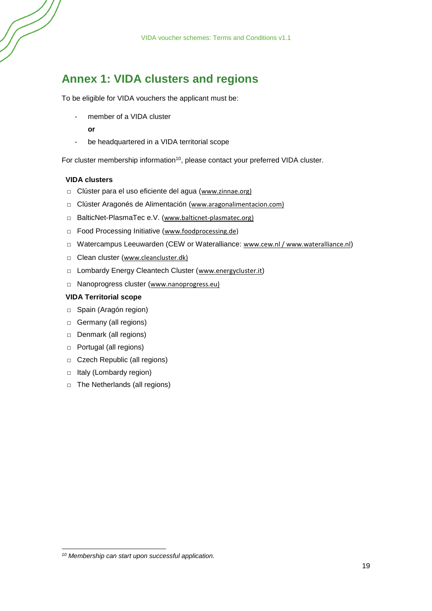# <span id="page-18-0"></span>**Annex 1: VIDA clusters and regions**

To be eligible for VIDA vouchers the applicant must be:

- member of a VIDA cluster
	- **or**
- be headquartered in a VIDA territorial scope

For cluster membership information<sup>10</sup>, please contact your preferred VIDA cluster.

#### **VIDA clusters**

- □ Clúster para el uso eficiente del agua ([www.zinnae.org\)](http://www.zinnae.org/)
- □ Clúster Aragonés de Alimentación ([www.aragonalimentacion.com\)](http://www.aragonalimentacion.com/)
- □ BalticNet-PlasmaTec e.V. ([www.balticnet-plasmatec.org\)](http://www.balticnet-plasmatec.org/)
- □ Food Processing Initiative ([www.foodprocessing.de\)](http://www.foodprocessing.de/)
- □ Watercampus Leeuwarden (CEW or Wateralliance: [www.cew.nl](http://www.cew.nl/) [/ www.wateralliance.nl](http://www.wateralliance.nl/))
- □ Clean cluster ([www.cleancluster.dk\)](http://www.cleancluster.dk/)
- □ Lombardy Energy Cleantech Cluster ([www.energycluster.it](http://www.energycluster.it/))
- □ Nanoprogress cluster ([www.nanoprogress.eu\)](http://www.nanoprogress.eu/)

#### **VIDA Territorial scope**

- □ Spain (Aragón region)
- □ Germany (all regions)
- □ Denmark (all regions)
- □ Portugal (all regions)
- □ Czech Republic (all regions)
- □ Italy (Lombardy region)
- □ The Netherlands (all regions)

-

*<sup>10</sup> Membership can start upon successful application.*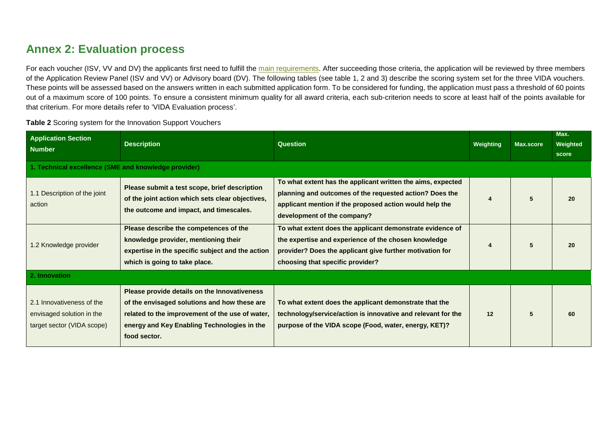# **Annex 2: Evaluation process**

For each voucher (ISV, VV and DV) the applicants first need to fulfill the [main requirements.](#page-3-3) After succeeding those criteria, the application will be reviewed by three members of the Application Review Panel (ISV and VV) or Advisory board (DV). The following tables (see table 1, 2 and 3) describe the scoring system set for the three VIDA vouchers. These points will be assessed based on the answers written in each submitted application form. To be considered for funding, the application must pass a threshold of 60 points out of a maximum score of 100 points. To ensure a consistent minimum quality for all award criteria, each sub-criterion needs to score at least half of the points available for that criterium. For more details refer to 'VIDA Evaluation process'.

#### **Table 2** Scoring system for the Innovation Support Vouchers

<span id="page-19-0"></span>

| <b>Application Section</b><br><b>Number</b>                                          | <b>Description</b>                                                                                                                                                                                             | <b>Question</b>                                                                                                                                                                                                   | Weighting | <b>Max.score</b> | Max.<br>Weighted<br>score |
|--------------------------------------------------------------------------------------|----------------------------------------------------------------------------------------------------------------------------------------------------------------------------------------------------------------|-------------------------------------------------------------------------------------------------------------------------------------------------------------------------------------------------------------------|-----------|------------------|---------------------------|
| 1. Technical excellence (SME and knowledge provider)                                 |                                                                                                                                                                                                                |                                                                                                                                                                                                                   |           |                  |                           |
| 1.1 Description of the joint<br>action                                               | Please submit a test scope, brief description<br>of the joint action which sets clear objectives,<br>the outcome and impact, and timescales.                                                                   | To what extent has the applicant written the aims, expected<br>planning and outcomes of the requested action? Does the<br>applicant mention if the proposed action would help the<br>development of the company?  | 4         | 5                | 20                        |
| 1.2 Knowledge provider                                                               | Please describe the competences of the<br>knowledge provider, mentioning their<br>expertise in the specific subject and the action<br>which is going to take place.                                            | To what extent does the applicant demonstrate evidence of<br>the expertise and experience of the chosen knowledge<br>provider? Does the applicant give further motivation for<br>choosing that specific provider? |           | 5                | 20                        |
| 2. Innovation                                                                        |                                                                                                                                                                                                                |                                                                                                                                                                                                                   |           |                  |                           |
| 2.1 Innovativeness of the<br>envisaged solution in the<br>target sector (VIDA scope) | Please provide details on the Innovativeness<br>of the envisaged solutions and how these are<br>related to the improvement of the use of water,<br>energy and Key Enabling Technologies in the<br>food sector. | To what extent does the applicant demonstrate that the<br>technology/service/action is innovative and relevant for the<br>purpose of the VIDA scope (Food, water, energy, KET)?                                   | 12        | 5                | 60                        |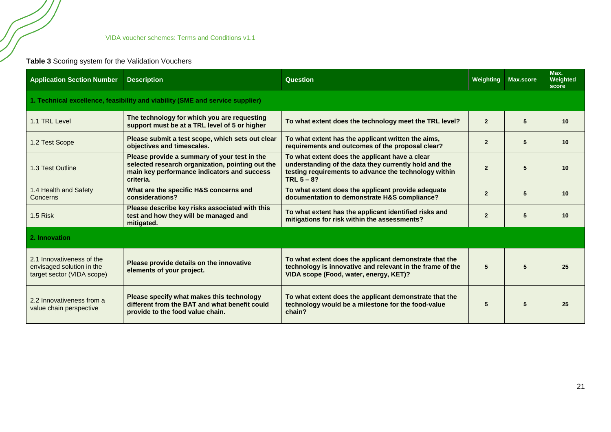### **Table 3** Scoring system for the Validation Vouchers

| <b>Application Section Number</b>                                                    | <b>Description</b>                                                                                                                                           | <b>Question</b>                                                                                                                                                                   | Weighting      | Max.score | Max.<br>Weighted<br>score |  |  |  |
|--------------------------------------------------------------------------------------|--------------------------------------------------------------------------------------------------------------------------------------------------------------|-----------------------------------------------------------------------------------------------------------------------------------------------------------------------------------|----------------|-----------|---------------------------|--|--|--|
|                                                                                      | 1. Technical excellence, feasibility and viability (SME and service supplier)                                                                                |                                                                                                                                                                                   |                |           |                           |  |  |  |
| 1.1 TRL Level                                                                        | The technology for which you are requesting<br>support must be at a TRL level of 5 or higher                                                                 | To what extent does the technology meet the TRL level?                                                                                                                            | $\overline{2}$ | 5         | 10                        |  |  |  |
| 1.2 Test Scope                                                                       | Please submit a test scope, which sets out clear<br>objectives and timescales.                                                                               | To what extent has the applicant written the aims,<br>requirements and outcomes of the proposal clear?                                                                            | $\overline{2}$ | 5         | 10 <sup>1</sup>           |  |  |  |
| 1.3 Test Outline                                                                     | Please provide a summary of your test in the<br>selected research organization, pointing out the<br>main key performance indicators and success<br>criteria. | To what extent does the applicant have a clear<br>understanding of the data they currently hold and the<br>testing requirements to advance the technology within<br>TRL $5 - 8$ ? | $\overline{2}$ | 5         | 10                        |  |  |  |
| 1.4 Health and Safety<br>Concerns                                                    | What are the specific H&S concerns and<br>considerations?                                                                                                    | To what extent does the applicant provide adequate<br>documentation to demonstrate H&S compliance?                                                                                | $\overline{2}$ | 5         | 10 <sup>1</sup>           |  |  |  |
| 1.5 Risk                                                                             | Please describe key risks associated with this<br>test and how they will be managed and<br>mitigated.                                                        | To what extent has the applicant identified risks and<br>mitigations for risk within the assessments?                                                                             | $\overline{2}$ | 5         | 10                        |  |  |  |
| 2. Innovation                                                                        |                                                                                                                                                              |                                                                                                                                                                                   |                |           |                           |  |  |  |
| 2.1 Innovativeness of the<br>envisaged solution in the<br>target sector (VIDA scope) | Please provide details on the innovative<br>elements of your project.                                                                                        | To what extent does the applicant demonstrate that the<br>technology is innovative and relevant in the frame of the<br>VIDA scope (Food, water, energy, KET)?                     | 5              | 5         | 25                        |  |  |  |
| 2.2 Innovativeness from a<br>value chain perspective                                 | Please specify what makes this technology<br>different from the BAT and what benefit could<br>provide to the food value chain.                               | To what extent does the applicant demonstrate that the<br>technology would be a milestone for the food-value<br>chain?                                                            | 5              |           | 25                        |  |  |  |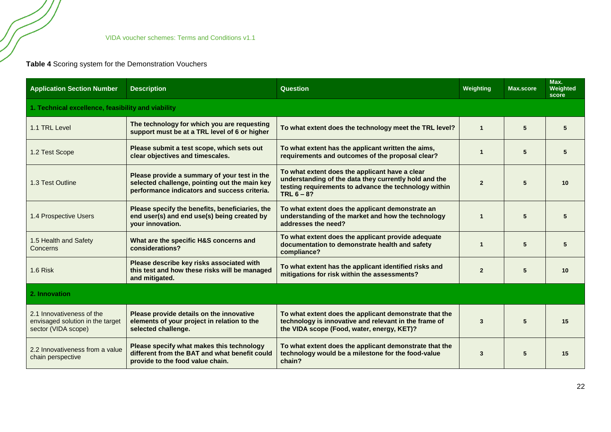### **Table 4** Scoring system for the Demonstration Vouchers

| <b>Application Section Number</b>                                                    | <b>Description</b>                                                                                                                            | <b>Question</b>                                                                                                                                                                   | Weighting      | Max.score | Max.<br>Weighted<br>score |  |
|--------------------------------------------------------------------------------------|-----------------------------------------------------------------------------------------------------------------------------------------------|-----------------------------------------------------------------------------------------------------------------------------------------------------------------------------------|----------------|-----------|---------------------------|--|
| 1. Technical excellence, feasibility and viability                                   |                                                                                                                                               |                                                                                                                                                                                   |                |           |                           |  |
| 1.1 TRL Level                                                                        | The technology for which you are requesting<br>support must be at a TRL level of 6 or higher                                                  | To what extent does the technology meet the TRL level?                                                                                                                            | $\mathbf{1}$   | 5         | 5                         |  |
| 1.2 Test Scope                                                                       | Please submit a test scope, which sets out<br>clear objectives and timescales.                                                                | To what extent has the applicant written the aims,<br>requirements and outcomes of the proposal clear?                                                                            | 1              | 5         |                           |  |
| 1.3 Test Outline                                                                     | Please provide a summary of your test in the<br>selected challenge, pointing out the main key<br>performance indicators and success criteria. | To what extent does the applicant have a clear<br>understanding of the data they currently hold and the<br>testing requirements to advance the technology within<br>TRL $6 - 8$ ? | $\overline{2}$ | 5         | 10                        |  |
| 1.4 Prospective Users                                                                | Please specify the benefits, beneficiaries, the<br>end user(s) and end use(s) being created by<br>your innovation.                            | To what extent does the applicant demonstrate an<br>understanding of the market and how the technology<br>addresses the need?                                                     | $\mathbf 1$    | 5         |                           |  |
| 1.5 Health and Safety<br>Concerns                                                    | What are the specific H&S concerns and<br>considerations?                                                                                     | To what extent does the applicant provide adequate<br>documentation to demonstrate health and safety<br>compliance?                                                               | $\mathbf{1}$   | 5         |                           |  |
| 1.6 Risk                                                                             | Please describe key risks associated with<br>this test and how these risks will be managed<br>and mitigated.                                  | To what extent has the applicant identified risks and<br>mitigations for risk within the assessments?                                                                             | $\overline{2}$ | 5         | 10                        |  |
| 2. Innovation                                                                        |                                                                                                                                               |                                                                                                                                                                                   |                |           |                           |  |
| 2.1 Innovativeness of the<br>envisaged solution in the target<br>sector (VIDA scope) | Please provide details on the innovative<br>elements of your project in relation to the<br>selected challenge.                                | To what extent does the applicant demonstrate that the<br>technology is innovative and relevant in the frame of<br>the VIDA scope (Food, water, energy, KET)?                     | 3              |           | 15                        |  |
| 2.2 Innovativeness from a value<br>chain perspective                                 | Please specify what makes this technology<br>different from the BAT and what benefit could<br>provide to the food value chain.                | To what extent does the applicant demonstrate that the<br>technology would be a milestone for the food-value<br>chain?                                                            | 3              | 5         | 15                        |  |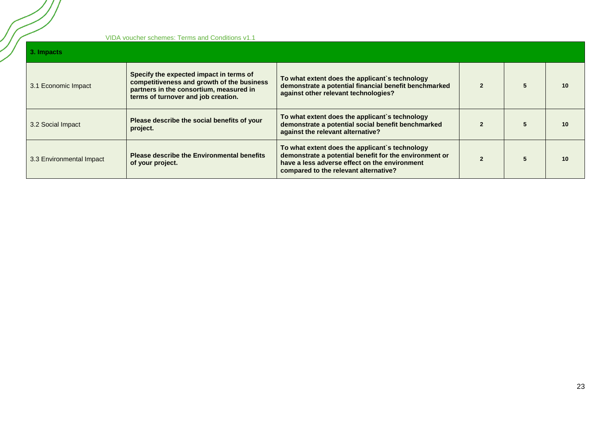VIDA voucher schemes: Terms and Conditions v1.1

| 3. Impacts               |                                                                                                                                                                         |                                                                                                                                                                                                    |  |   |    |
|--------------------------|-------------------------------------------------------------------------------------------------------------------------------------------------------------------------|----------------------------------------------------------------------------------------------------------------------------------------------------------------------------------------------------|--|---|----|
| 3.1 Economic Impact      | Specify the expected impact in terms of<br>competitiveness and growth of the business<br>partners in the consortium, measured in<br>terms of turnover and job creation. | To what extent does the applicant's technology<br>demonstrate a potential financial benefit benchmarked<br>against other relevant technologies?                                                    |  | 5 | 10 |
| 3.2 Social Impact        | Please describe the social benefits of your<br>project.                                                                                                                 | To what extent does the applicant's technology<br>demonstrate a potential social benefit benchmarked<br>against the relevant alternative?                                                          |  | 5 | 10 |
| 3.3 Environmental Impact | <b>Please describe the Environmental benefits</b><br>of your project.                                                                                                   | To what extent does the applicant's technology<br>demonstrate a potential benefit for the environment or<br>have a less adverse effect on the environment<br>compared to the relevant alternative? |  | 5 | 10 |